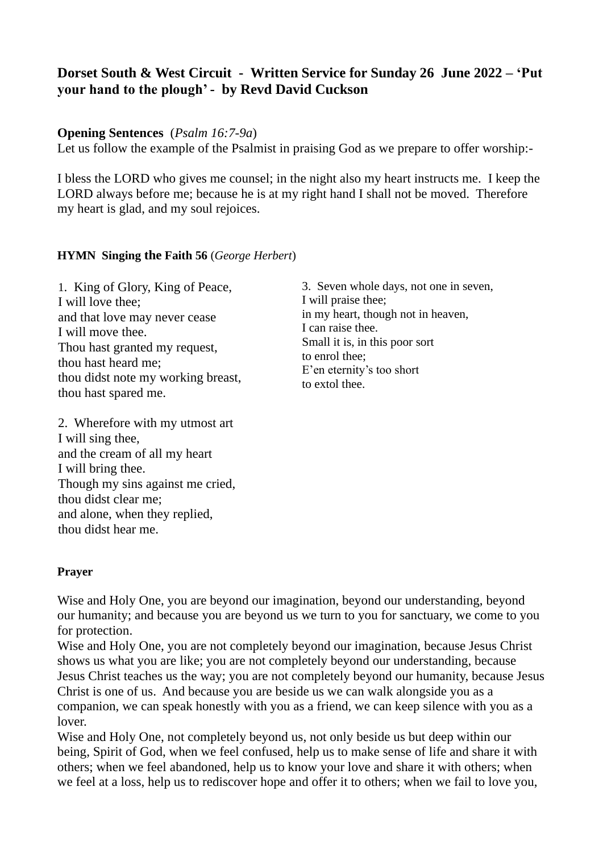# **Dorset South & West Circuit - Written Service for Sunday 26 June 2022 – 'Put your hand to the plough' - by Revd David Cuckson**

#### **Opening Sentences** (*Psalm 16:7-9a*)

Let us follow the example of the Psalmist in praising God as we prepare to offer worship:-

I bless the LORD who gives me counsel; in the night also my heart instructs me. I keep the LORD always before me; because he is at my right hand I shall not be moved. Therefore my heart is glad, and my soul rejoices.

#### **HYMN Singing the Faith 56** (*George Herbert*)

1. King of Glory, King of Peace, I will love thee; and that love may never cease I will move thee. Thou hast granted my request, thou hast heard me; thou didst note my working breast, thou hast spared me.

2. Wherefore with my utmost art I will sing thee, and the cream of all my heart I will bring thee. Though my sins against me cried, thou didst clear me; and alone, when they replied, thou didst hear me.

3. Seven whole days, not one in seven, I will praise thee; in my heart, though not in heaven, I can raise thee. Small it is, in this poor sort to enrol thee; E'en eternity's too short to extol thee.

#### **Prayer**

Wise and Holy One, you are beyond our imagination, beyond our understanding, beyond our humanity; and because you are beyond us we turn to you for sanctuary, we come to you for protection.

Wise and Holy One, you are not completely beyond our imagination, because Jesus Christ shows us what you are like; you are not completely beyond our understanding, because Jesus Christ teaches us the way; you are not completely beyond our humanity, because Jesus Christ is one of us. And because you are beside us we can walk alongside you as a companion, we can speak honestly with you as a friend, we can keep silence with you as a lover.

Wise and Holy One, not completely beyond us, not only beside us but deep within our being, Spirit of God, when we feel confused, help us to make sense of life and share it with others; when we feel abandoned, help us to know your love and share it with others; when we feel at a loss, help us to rediscover hope and offer it to others; when we fail to love you,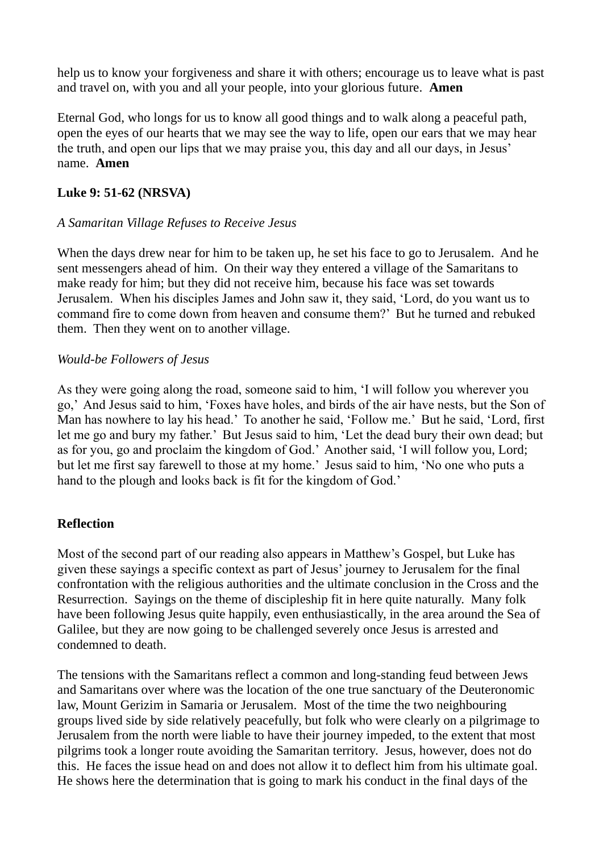help us to know your forgiveness and share it with others; encourage us to leave what is past and travel on, with you and all your people, into your glorious future. **Amen**

Eternal God, who longs for us to know all good things and to walk along a peaceful path, open the eyes of our hearts that we may see the way to life, open our ears that we may hear the truth, and open our lips that we may praise you, this day and all our days, in Jesus' name. **Amen**

### **Luke 9: 51-62 (NRSVA)**

## *A Samaritan Village Refuses to Receive Jesus*

When the days drew near for him to be taken up, he set his face to go to Jerusalem. And he sent messengers ahead of him. On their way they entered a village of the Samaritans to make ready for him; but they did not receive him, because his face was set towards Jerusalem. When his disciples James and John saw it, they said, 'Lord, do you want us to command fire to come down from heaven and consume them?' But he turned and rebuked them. Then they went on to another village.

## *Would-be Followers of Jesus*

As they were going along the road, someone said to him, 'I will follow you wherever you go,' And Jesus said to him, 'Foxes have holes, and birds of the air have nests, but the Son of Man has nowhere to lay his head.' To another he said, 'Follow me.' But he said, 'Lord, first let me go and bury my father.' But Jesus said to him, 'Let the dead bury their own dead; but as for you, go and proclaim the kingdom of God.' Another said, 'I will follow you, Lord; but let me first say farewell to those at my home.' Jesus said to him, 'No one who puts a hand to the plough and looks back is fit for the kingdom of God.'

## **Reflection**

Most of the second part of our reading also appears in Matthew's Gospel, but Luke has given these sayings a specific context as part of Jesus' journey to Jerusalem for the final confrontation with the religious authorities and the ultimate conclusion in the Cross and the Resurrection. Sayings on the theme of discipleship fit in here quite naturally. Many folk have been following Jesus quite happily, even enthusiastically, in the area around the Sea of Galilee, but they are now going to be challenged severely once Jesus is arrested and condemned to death.

The tensions with the Samaritans reflect a common and long-standing feud between Jews and Samaritans over where was the location of the one true sanctuary of the Deuteronomic law, Mount Gerizim in Samaria or Jerusalem. Most of the time the two neighbouring groups lived side by side relatively peacefully, but folk who were clearly on a pilgrimage to Jerusalem from the north were liable to have their journey impeded, to the extent that most pilgrims took a longer route avoiding the Samaritan territory. Jesus, however, does not do this. He faces the issue head on and does not allow it to deflect him from his ultimate goal. He shows here the determination that is going to mark his conduct in the final days of the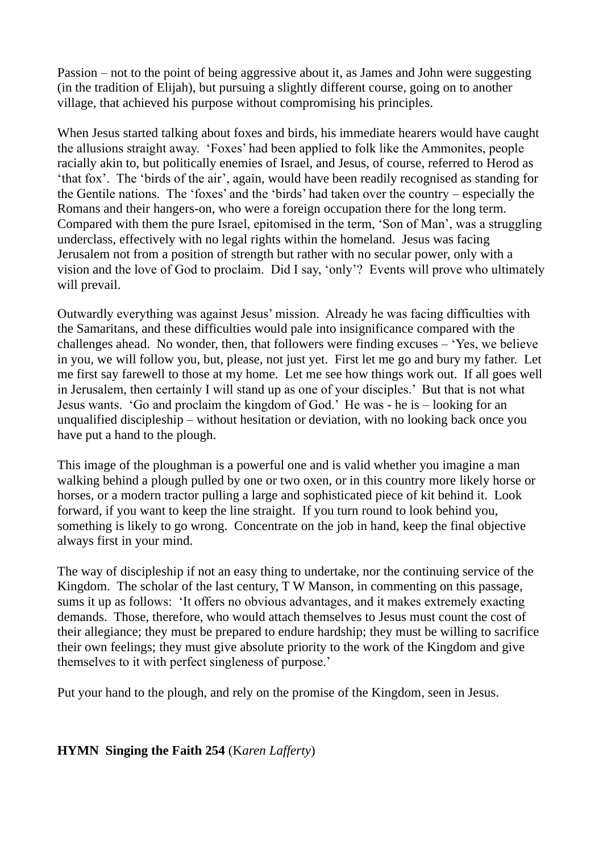Passion – not to the point of being aggressive about it, as James and John were suggesting (in the tradition of Elijah), but pursuing a slightly different course, going on to another village, that achieved his purpose without compromising his principles.

When Jesus started talking about foxes and birds, his immediate hearers would have caught the allusions straight away. 'Foxes' had been applied to folk like the Ammonites, people racially akin to, but politically enemies of Israel, and Jesus, of course, referred to Herod as 'that fox'. The 'birds of the air', again, would have been readily recognised as standing for the Gentile nations. The 'foxes' and the 'birds' had taken over the country – especially the Romans and their hangers-on, who were a foreign occupation there for the long term. Compared with them the pure Israel, epitomised in the term, 'Son of Man', was a struggling underclass, effectively with no legal rights within the homeland. Jesus was facing Jerusalem not from a position of strength but rather with no secular power, only with a vision and the love of God to proclaim. Did I say, 'only'? Events will prove who ultimately will prevail.

Outwardly everything was against Jesus' mission. Already he was facing difficulties with the Samaritans, and these difficulties would pale into insignificance compared with the challenges ahead. No wonder, then, that followers were finding excuses – 'Yes, we believe in you, we will follow you, but, please, not just yet. First let me go and bury my father. Let me first say farewell to those at my home. Let me see how things work out. If all goes well in Jerusalem, then certainly I will stand up as one of your disciples.' But that is not what Jesus wants. 'Go and proclaim the kingdom of God.' He was - he is – looking for an unqualified discipleship – without hesitation or deviation, with no looking back once you have put a hand to the plough.

This image of the ploughman is a powerful one and is valid whether you imagine a man walking behind a plough pulled by one or two oxen, or in this country more likely horse or horses, or a modern tractor pulling a large and sophisticated piece of kit behind it. Look forward, if you want to keep the line straight. If you turn round to look behind you, something is likely to go wrong. Concentrate on the job in hand, keep the final objective always first in your mind.

The way of discipleship if not an easy thing to undertake, nor the continuing service of the Kingdom. The scholar of the last century, T W Manson, in commenting on this passage, sums it up as follows: 'It offers no obvious advantages, and it makes extremely exacting demands. Those, therefore, who would attach themselves to Jesus must count the cost of their allegiance; they must be prepared to endure hardship; they must be willing to sacrifice their own feelings; they must give absolute priority to the work of the Kingdom and give themselves to it with perfect singleness of purpose.'

Put your hand to the plough, and rely on the promise of the Kingdom, seen in Jesus.

**HYMN Singing the Faith 254** (K*aren Lafferty*)